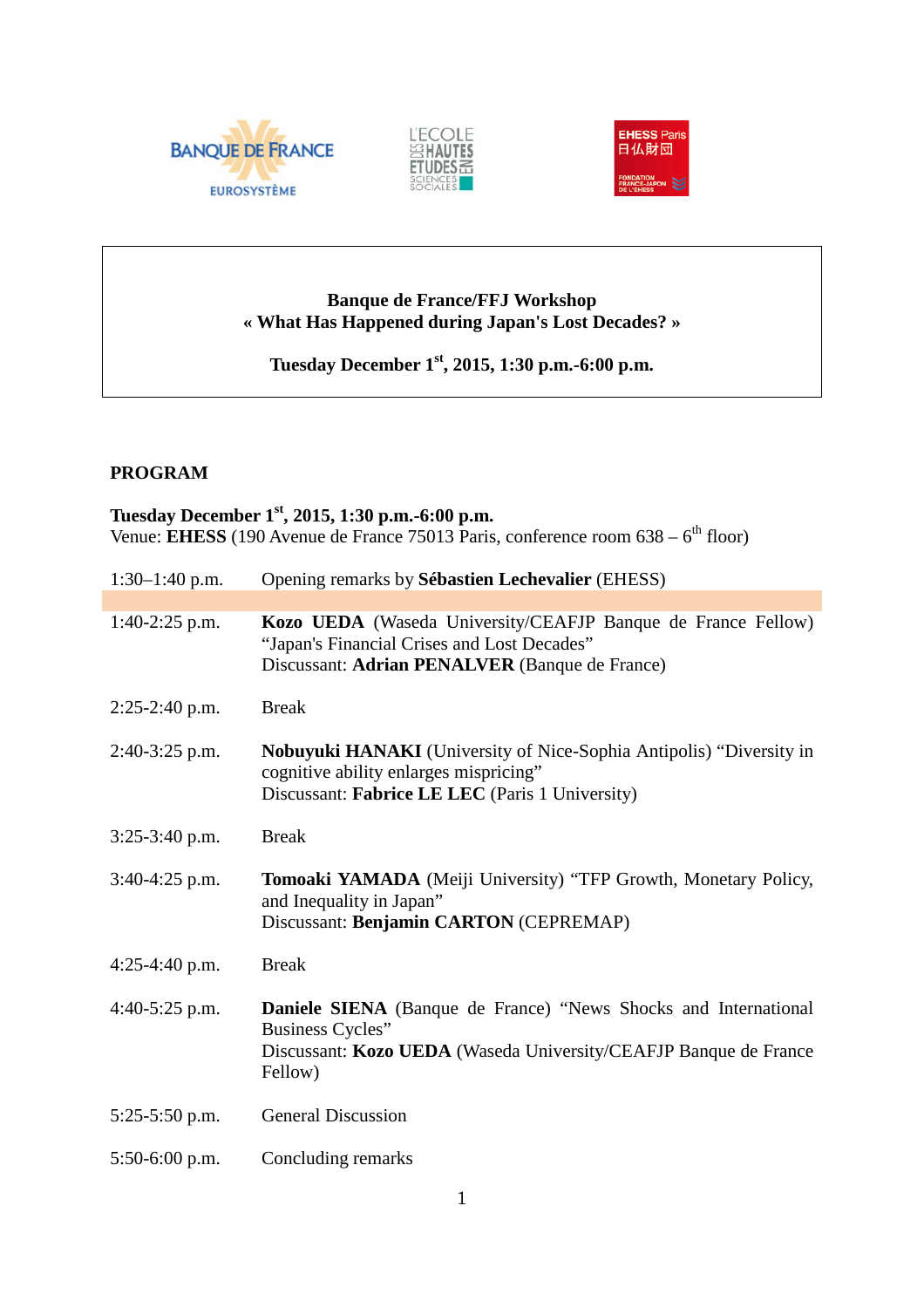





# **Banque de France/FFJ Workshop « What Has Happened during Japan's Lost Decades? »**

**Tuesday December 1st, 2015, 1:30 p.m.-6:00 p.m.**

## **PROGRAM**

## **Tuesday December 1st, 2015, 1:30 p.m.-6:00 p.m.** Venue: **EHESS** (190 Avenue de France 75013 Paris, conference room 638 – 6<sup>th</sup> floor)

| $1:30-1:40$ p.m. | Opening remarks by Sébastien Lechevalier (EHESS)                                                                                                                          |
|------------------|---------------------------------------------------------------------------------------------------------------------------------------------------------------------------|
|                  |                                                                                                                                                                           |
| $1:40-2:25$ p.m. | Kozo UEDA (Waseda University/CEAFJP Banque de France Fellow)<br>"Japan's Financial Crises and Lost Decades"<br>Discussant: Adrian PENALVER (Banque de France)             |
| $2:25-2:40$ p.m. | <b>Break</b>                                                                                                                                                              |
| 2:40-3:25 p.m.   | Nobuyuki HANAKI (University of Nice-Sophia Antipolis) "Diversity in<br>cognitive ability enlarges mispricing"<br>Discussant: Fabrice LE LEC (Paris 1 University)          |
| $3:25-3:40$ p.m. | <b>Break</b>                                                                                                                                                              |
| 3:40-4:25 p.m.   | Tomoaki YAMADA (Meiji University) "TFP Growth, Monetary Policy,<br>and Inequality in Japan"<br>Discussant: Benjamin CARTON (CEPREMAP)                                     |
| $4:25-4:40$ p.m. | <b>Break</b>                                                                                                                                                              |
| $4:40-5:25$ p.m. | <b>Daniele SIENA</b> (Banque de France) "News Shocks and International<br>Business Cycles"<br>Discussant: Kozo UEDA (Waseda University/CEAFJP Banque de France<br>Fellow) |
| $5:25-5:50$ p.m. | <b>General Discussion</b>                                                                                                                                                 |
| $5:50-6:00$ p.m. | Concluding remarks                                                                                                                                                        |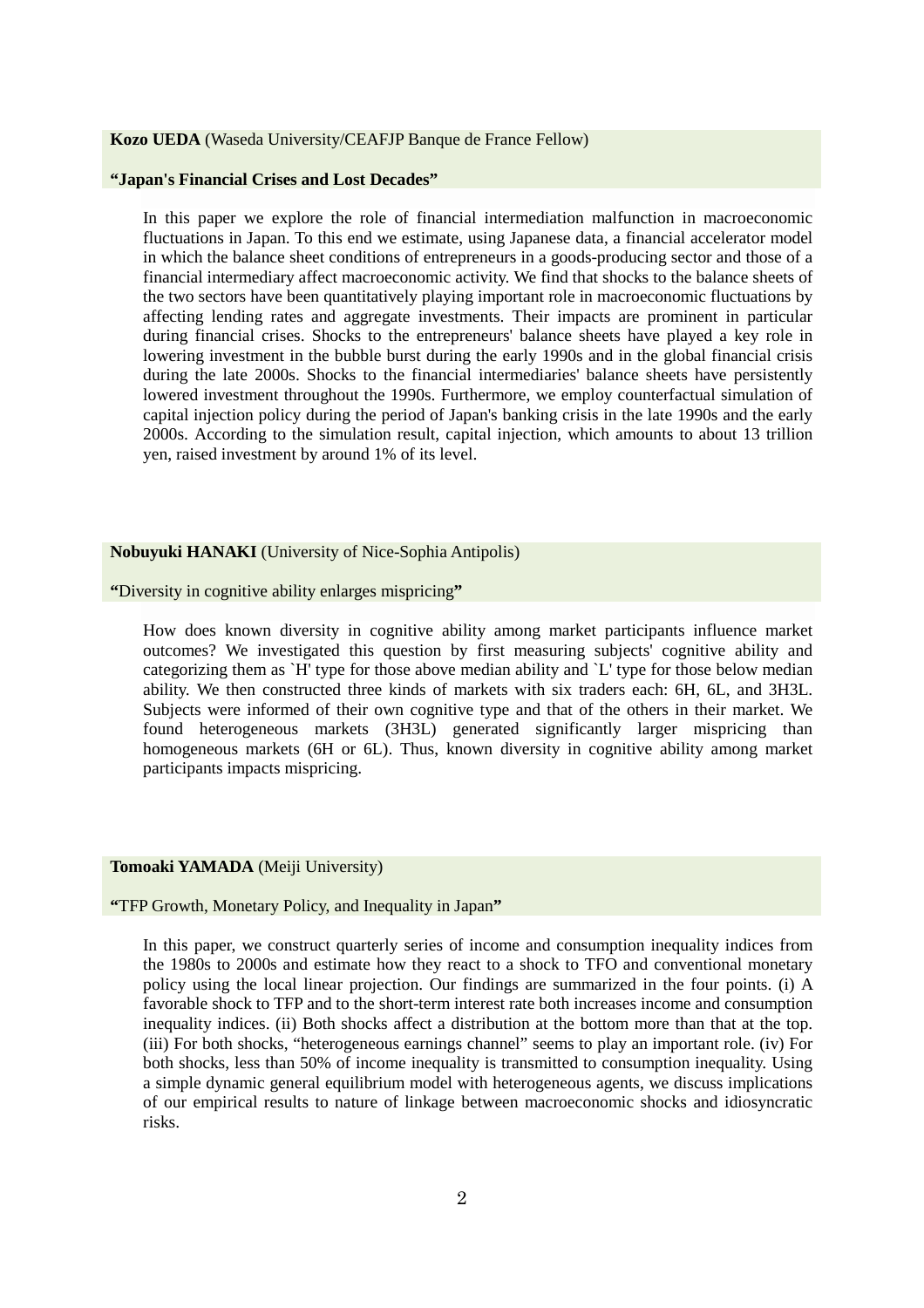#### **Kozo UEDA** (Waseda University/CEAFJP Banque de France Fellow)

#### **"Japan's Financial Crises and Lost Decades"**

In this paper we explore the role of financial intermediation malfunction in macroeconomic fluctuations in Japan. To this end we estimate, using Japanese data, a financial accelerator model in which the balance sheet conditions of entrepreneurs in a goods-producing sector and those of a financial intermediary affect macroeconomic activity. We find that shocks to the balance sheets of the two sectors have been quantitatively playing important role in macroeconomic fluctuations by affecting lending rates and aggregate investments. Their impacts are prominent in particular during financial crises. Shocks to the entrepreneurs' balance sheets have played a key role in lowering investment in the bubble burst during the early 1990s and in the global financial crisis during the late 2000s. Shocks to the financial intermediaries' balance sheets have persistently lowered investment throughout the 1990s. Furthermore, we employ counterfactual simulation of capital injection policy during the period of Japan's banking crisis in the late 1990s and the early 2000s. According to the simulation result, capital injection, which amounts to about 13 trillion yen, raised investment by around 1% of its level.

## **Nobuyuki HANAKI** (University of Nice-Sophia Antipolis)

**"**Diversity in cognitive ability enlarges mispricing**"**

How does known diversity in cognitive ability among market participants influence market outcomes? We investigated this question by first measuring subjects' cognitive ability and categorizing them as `H' type for those above median ability and `L' type for those below median ability. We then constructed three kinds of markets with six traders each: 6H, 6L, and 3H3L. Subjects were informed of their own cognitive type and that of the others in their market. We found heterogeneous markets (3H3L) generated significantly larger mispricing than homogeneous markets (6H or 6L). Thus, known diversity in cognitive ability among market participants impacts mispricing.

#### **Tomoaki YAMADA** (Meiji University)

**"**TFP Growth, Monetary Policy, and Inequality in Japan**"**

In this paper, we construct quarterly series of income and consumption inequality indices from the 1980s to 2000s and estimate how they react to a shock to TFO and conventional monetary policy using the local linear projection. Our findings are summarized in the four points. (i) A favorable shock to TFP and to the short-term interest rate both increases income and consumption inequality indices. (ii) Both shocks affect a distribution at the bottom more than that at the top. (iii) For both shocks, "heterogeneous earnings channel" seems to play an important role. (iv) For both shocks, less than 50% of income inequality is transmitted to consumption inequality. Using a simple dynamic general equilibrium model with heterogeneous agents, we discuss implications of our empirical results to nature of linkage between macroeconomic shocks and idiosyncratic risks.